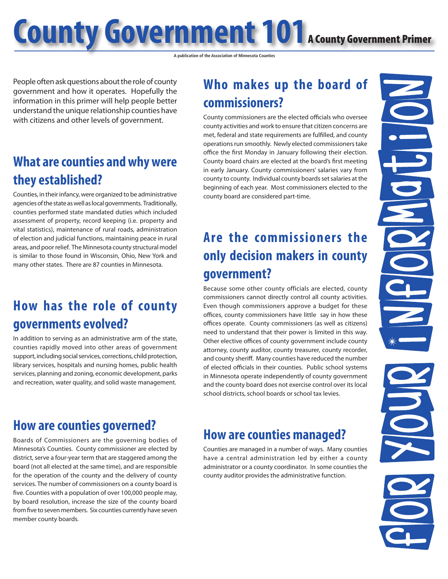**County Government 101** A County Government Primer

**A publication of the Association of Minnesota Counties**

People often ask questions about the role of county government and how it operates. Hopefully the information in this primer will help people better understand the unique relationship counties have with citizens and other levels of government.

#### **What are counties and why were they established?**

Counties, in their infancy, were organized to be administrative agencies of the state as well as local governments. Traditionally, counties performed state mandated duties which included assessment of property, record keeping (i.e. property and vital statistics), maintenance of rural roads, administration of election and judicial functions, maintaining peace in rural areas, and poor relief. The Minnesota county structural model is similar to those found in Wisconsin, Ohio, New York and many other states. There are 87 counties in Minnesota.

### **How has the role of county governments evolved?**

In addition to serving as an administrative arm of the state, counties rapidly moved into other areas of government support, including social services, corrections, child protection, library services, hospitals and nursing homes, public health services, planning and zoning, economic development, parks and recreation, water quality, and solid waste management.

#### **How are counties governed?**

Boards of Commissioners are the governing bodies of Minnesota's Counties. County commissioner are elected by district, serve a four-year term that are staggered among the board (not all elected at the same time), and are responsible for the operation of the county and the delivery of county services. The number of commissioners on a county board is five. Counties with a population of over 100,000 people may, by board resolution, increase the size of the county board from five to seven members. Six counties currently have seven member county boards.

# **Who makes up the board of commissioners?**

County commissioners are the elected officials who oversee county activities and work to ensure that citizen concerns are met, federal and state requirements are fulfilled, and county operations run smoothly. Newly elected commissioners take office the first Monday in January following their election. County board chairs are elected at the board's first meeting in early January. County commissioners' salaries vary from county to county. Individual county boards set salaries at the beginning of each year. Most commissioners elected to the county board are considered part-time.

# **Are the commissioners the only decision makers in county government?**

Because some other county officials are elected, county commissioners cannot directly control all county activities. Even though commissioners approve a budget for these offices, county commissioners have little say in how these offices operate. County commissioners (as well as citizens) need to understand that their power is limited in this way. Other elective offices of county government include county attorney, county auditor, county treasurer, county recorder, and county sheriff. Many counties have reduced the number of elected officials in their counties. Public school systems in Minnesota operate independently of county government and the county board does not exercise control over its local school districts, school boards or school tax levies.

#### **How are counties managed?**

Counties are managed in a number of ways. Many counties have a central administration led by either a county administrator or a county coordinator. In some counties the county auditor provides the administrative function.